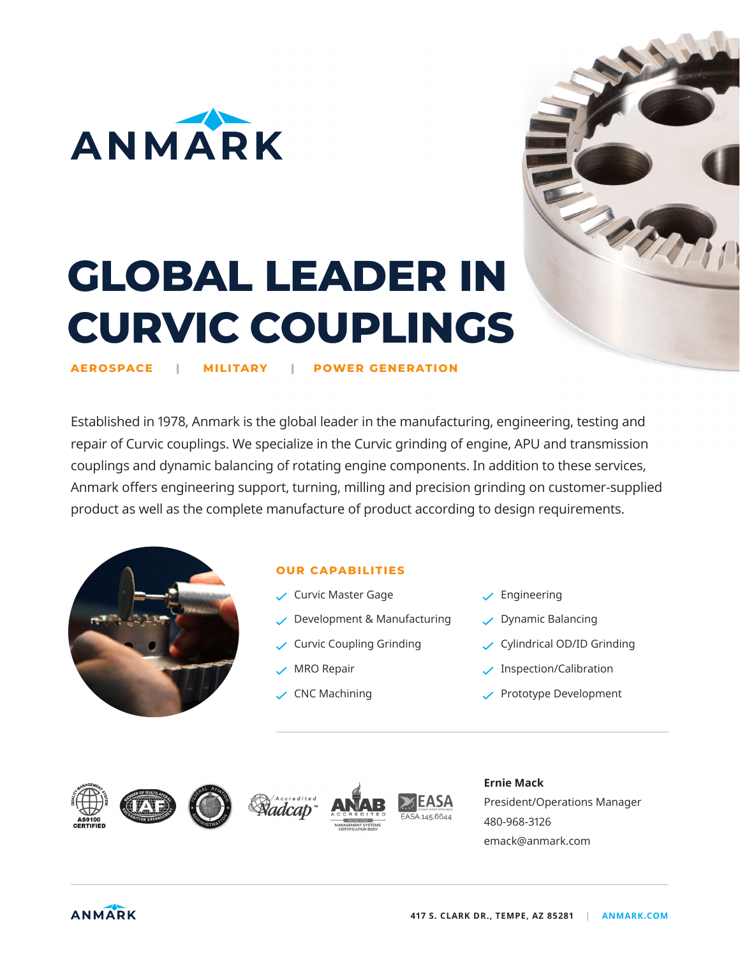

# **GLOBAL LEADER IN CURVIC COUPLINGS**

**AEROSPACE | MILITARY | POWER GENERATION**

Established in 1978, Anmark is the global leader in the manufacturing, engineering, testing and repair of Curvic couplings. We specialize in the Curvic grinding of engine, APU and transmission couplings and dynamic balancing of rotating engine components. In addition to these services, Anmark offers engineering support, turning, milling and precision grinding on customer-supplied product as well as the complete manufacture of product according to design requirements.



## **OUR CAPABILITIES**

- Curvic Master Gage
- $\vee$  Development & Manufacturing
- $\sqrt{\phantom{a}}$  Curvic Coupling Grinding
- $\vee$  MRO Repair
- $\vee$  CNC Machining
- $\checkmark$  Engineering
- $\vee$  Dynamic Balancing
- Cylindrical OD/ID Grinding

**CONTRACT** 

- $\checkmark$  Inspection/Calibration
- Prototype Development









#### **Ernie Mack**

President/Operations Manager 480-968-3126 emack@anmark.com